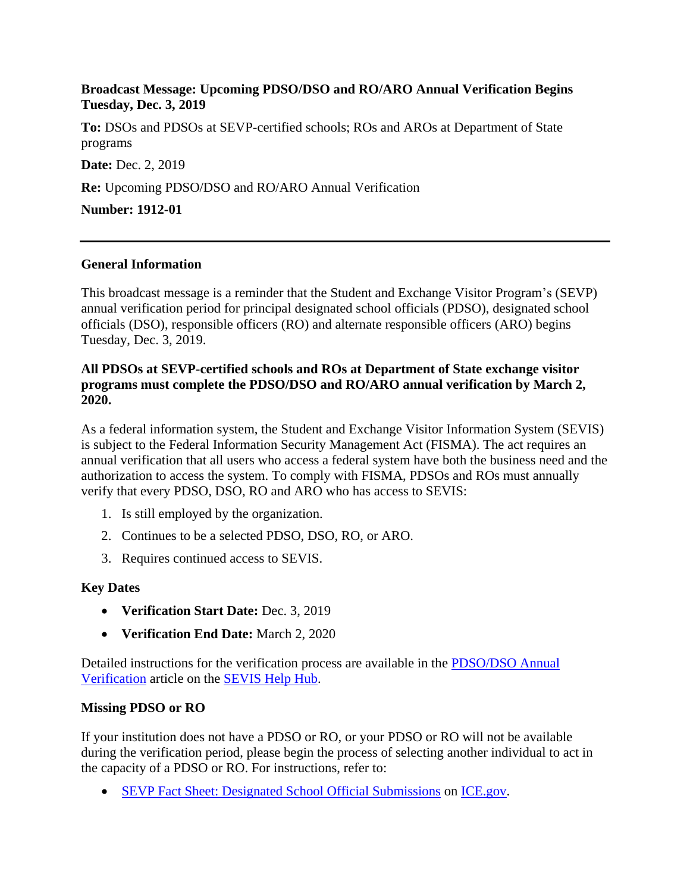### **Broadcast Message: Upcoming PDSO/DSO and RO/ARO Annual Verification Begins Tuesday, Dec. 3, 2019**

**To:** DSOs and PDSOs at SEVP-certified schools; ROs and AROs at Department of State programs

**Date: Dec. 2, 2019** 

**Re:** Upcoming PDSO/DSO and RO/ARO Annual Verification

**Number: 1912-01**

#### **General Information**

This broadcast message is a reminder that the Student and Exchange Visitor Program's (SEVP) annual verification period for principal designated school officials (PDSO), designated school officials (DSO), responsible officers (RO) and alternate responsible officers (ARO) begins Tuesday, Dec. 3, 2019.

### **All PDSOs at SEVP-certified schools and ROs at Department of State exchange visitor programs must complete the PDSO/DSO and RO/ARO annual verification by March 2, 2020.**

As a federal information system, the Student and Exchange Visitor Information System (SEVIS) is subject to the Federal Information Security Management Act (FISMA). The act requires an annual verification that all users who access a federal system have both the business need and the authorization to access the system. To comply with FISMA, PDSOs and ROs must annually verify that every PDSO, DSO, RO and ARO who has access to SEVIS:

- 1. Is still employed by the organization.
- 2. Continues to be a selected PDSO, DSO, RO, or ARO.
- 3. Requires continued access to SEVIS.

## **Key Dates**

- **Verification Start Date:** Dec. 3, 2019
- **Verification End Date:** March 2, 2020

Detailed instructions for the verification process are available in the [PDSO/DSO Annual](https://studyinthestates.dhs.gov/sevis-help-hub/school-records/pdsodso-annual-verification)  [Verification](https://studyinthestates.dhs.gov/sevis-help-hub/school-records/pdsodso-annual-verification) article on the [SEVIS Help Hub.](https://studyinthestates.dhs.gov/sevis-help-hub)

#### **Missing PDSO or RO**

If your institution does not have a PDSO or RO, or your PDSO or RO will not be available during the verification period, please begin the process of selecting another individual to act in the capacity of a PDSO or RO. For instructions, refer to:

• [SEVP Fact Sheet: Designated School Official Submissions](https://www.ice.gov/doclib/sevis/pdf/factSheetDsoSubmissions.pdf) on [ICE.gov.](https://www.ice.gov/sevis)